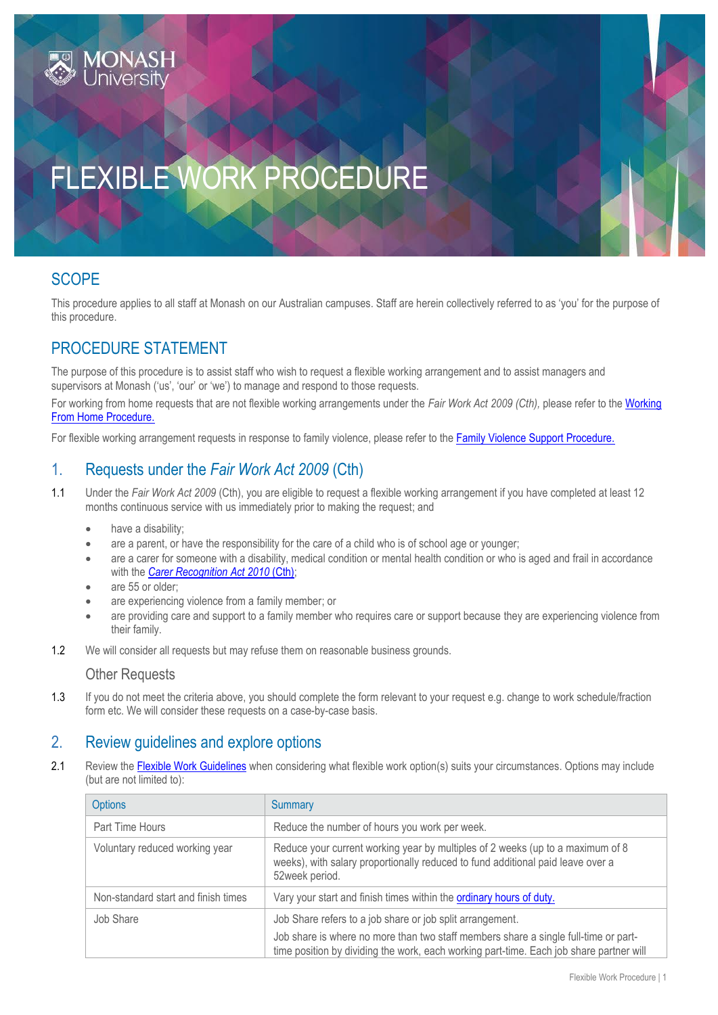# FLEXIBLE WORK PROCEDURE

# **SCOPE**

This procedure applies to all staff at Monash on our Australian campuses. Staff are herein collectively referred to as 'you' for the purpose of this procedure.

# PROCEDURE STATEMENT

The purpose of this procedure is to assist staff who wish to request a flexible working arrangement and to assist managers and supervisors at Monash ('us', 'our' or 'we') to manage and respond to those requests.

For working from home requests that are not flexible working arrangements under the *Fair Work Act 2009 (Cth),* please refer to the [Working](https://publicpolicydms.monash.edu/Monash/documents/1935739)  [From Home Procedure.](https://publicpolicydms.monash.edu/Monash/documents/1935739)

For flexible working arrangement requests in response to family violence, please refer to th[e Family Violence Support Procedure.](https://publicpolicydms.monash.edu/Monash/documents/1935685)

## 1. Requests under the *Fair Work Act 2009* (Cth)

- 1.1 Under the *Fair Work Act 2009* (Cth), you are eligible to request a flexible working arrangement if you have completed at least 12 months continuous service with us immediately prior to making the request; and
	- have a disability:
	- are a parent, or have the responsibility for the care of a child who is of school age or younger;
	- are a carer for someone with a disability, medical condition or mental health condition or who is aged and frail in accordance with the *[Carer Recognition Act 2010](https://www.legislation.gov.au/Details/C2010A00123)* (Cth):
	- are 55 or older;
	- are experiencing violence from a family member; or
	- are providing care and support to a family member who requires care or support because they are experiencing violence from their family.
- 1.2 We will consider all requests but may refuse them on reasonable business grounds.

#### Other Requests

1.3 If you do not meet the criteria above, you should complete the form relevant to your request e.g. change to work schedule/fraction form etc. We will consider these requests on a case-by-case basis.

## 2. Review guidelines and explore options

2.1 Review th[e Flexible Work Guidelines](https://www.monash.edu/__data/assets/pdf_file/0004/1437331/FWA-Guidelines.pdf) when considering what flexible work option(s) suits your circumstances. Options may include (but are not limited to):

| <b>Options</b>                      | Summary                                                                                                                                                                                                                                     |
|-------------------------------------|---------------------------------------------------------------------------------------------------------------------------------------------------------------------------------------------------------------------------------------------|
| Part Time Hours                     | Reduce the number of hours you work per week.                                                                                                                                                                                               |
| Voluntary reduced working year      | Reduce your current working year by multiples of 2 weeks (up to a maximum of 8<br>weeks), with salary proportionally reduced to fund additional paid leave over a<br>52week period.                                                         |
| Non-standard start and finish times | Vary your start and finish times within the <b>ordinary hours of duty</b> .                                                                                                                                                                 |
| Job Share                           | Job Share refers to a job share or job split arrangement.<br>Job share is where no more than two staff members share a single full-time or part-<br>time position by dividing the work, each working part-time. Each job share partner will |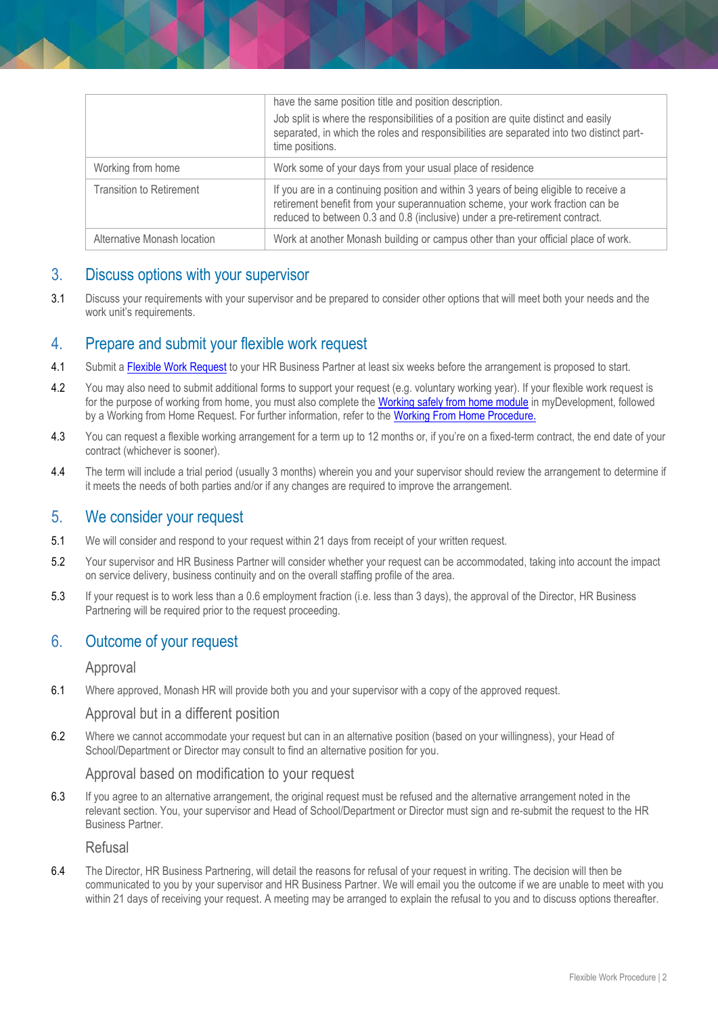|                                 | have the same position title and position description.                                                                                                                                                                                                |
|---------------------------------|-------------------------------------------------------------------------------------------------------------------------------------------------------------------------------------------------------------------------------------------------------|
|                                 | Job split is where the responsibilities of a position are quite distinct and easily<br>separated, in which the roles and responsibilities are separated into two distinct part-<br>time positions.                                                    |
| Working from home               | Work some of your days from your usual place of residence                                                                                                                                                                                             |
| <b>Transition to Retirement</b> | If you are in a continuing position and within 3 years of being eligible to receive a<br>retirement benefit from your superannuation scheme, your work fraction can be<br>reduced to between 0.3 and 0.8 (inclusive) under a pre-retirement contract. |
| Alternative Monash location     | Work at another Monash building or campus other than your official place of work.                                                                                                                                                                     |

#### 3. Discuss options with your supervisor

3.1 Discuss your requirements with your supervisor and be prepared to consider other options that will meet both your needs and the work unit's requirements.

#### 4. Prepare and submit your flexible work request

- 4.1 Submit a **[Flexible Work Request](http://www.intranet.monash/hr/assets/docs/tools-and-resources/forms/word/Flexible-work-request.docx)** to your HR Business Partner at least six weeks before the arrangement is proposed to start.
- 4.2 You may also need to submit additional forms to support your request (e.g. voluntary working year). If your flexible work request is for the purpose of working from home, you must also complete the [Working safely from home module](https://monash.csod.com/samldefault.aspx?ReturnUrl=%252fDeepLink%252fProcessRedirect.aspx%253fmodule%253dlodetails%2526lo%253d5aeb0f99-5bf8-408d-bf1f-c20fa567bdc6) in myDevelopment, followed by a Working from Home Request. For further information, refer to th[e Working From Home Procedure.](https://publicpolicydms.monash.edu/Monash/documents/1935739)
- 4.3 You can request a flexible working arrangement for a term up to 12 months or, if you're on a fixed-term contract, the end date of your contract (whichever is sooner).
- 4.4 The term will include a trial period (usually 3 months) wherein you and your supervisor should review the arrangement to determine if it meets the needs of both parties and/or if any changes are required to improve the arrangement.

#### 5. We consider your request

- 5.1 We will consider and respond to your request within 21 days from receipt of your written request.
- 5.2 Your supervisor and HR Business Partner will consider whether your request can be accommodated, taking into account the impact on service delivery, business continuity and on the overall staffing profile of the area.
- 5.3 If your request is to work less than a 0.6 employment fraction (i.e. less than 3 days), the approval of the Director, HR Business Partnering will be required prior to the request proceeding.

#### 6. Outcome of your request

#### Approval

6.1 Where approved, Monash HR will provide both you and your supervisor with a copy of the approved request.

Approval but in a different position

6.2 Where we cannot accommodate your request but can in an alternative position (based on your willingness), your Head of School/Department or Director may consult to find an alternative position for you.

#### Approval based on modification to your request

6.3 If you agree to an alternative arrangement, the original request must be refused and the alternative arrangement noted in the relevant section. You, your supervisor and Head of School/Department or Director must sign and re-submit the request to the HR Business Partner.

Refusal

6.4 The Director, HR Business Partnering, will detail the reasons for refusal of your request in writing. The decision will then be communicated to you by your supervisor and HR Business Partner. We will email you the outcome if we are unable to meet with you within 21 days of receiving your request. A meeting may be arranged to explain the refusal to you and to discuss options thereafter.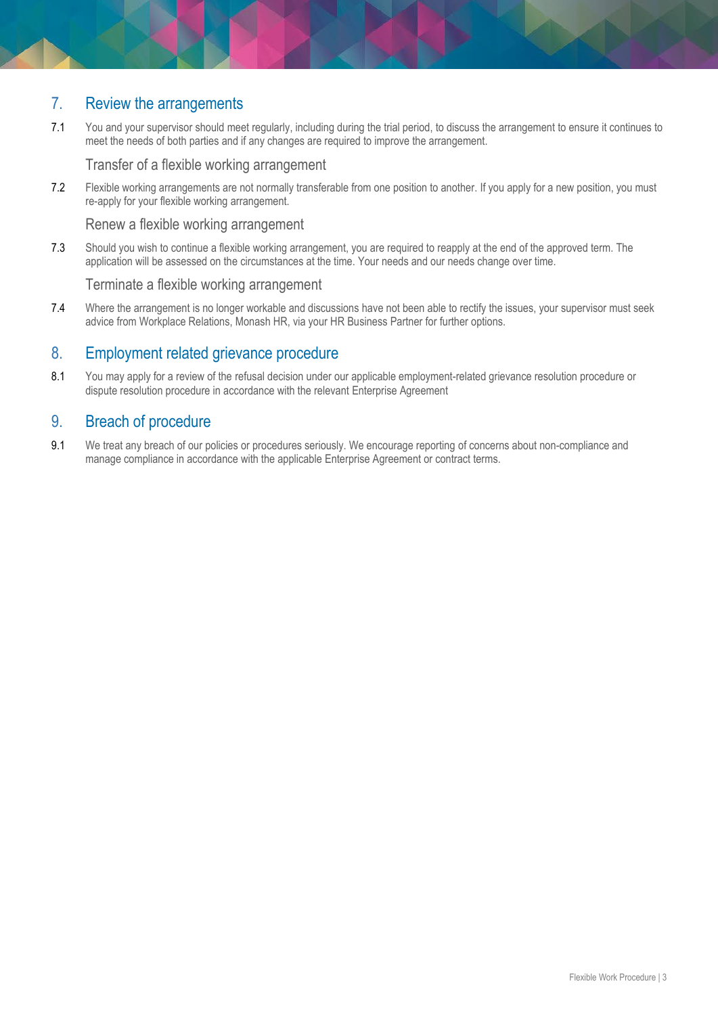# 7. Review the arrangements

7.1 You and your supervisor should meet regularly, including during the trial period, to discuss the arrangement to ensure it continues to meet the needs of both parties and if any changes are required to improve the arrangement.

Transfer of a flexible working arrangement

7.2 Flexible working arrangements are not normally transferable from one position to another. If you apply for a new position, you must re-apply for your flexible working arrangement.

Renew a flexible working arrangement

7.3 Should you wish to continue a flexible working arrangement, you are required to reapply at the end of the approved term. The application will be assessed on the circumstances at the time. Your needs and our needs change over time.

Terminate a flexible working arrangement

7.4 Where the arrangement is no longer workable and discussions have not been able to rectify the issues, your supervisor must seek advice from Workplace Relations, Monash HR, via your HR Business Partner for further options.

## 8. Employment related grievance procedure

8.1 You may apply for a review of the refusal decision under our applicable employment-related grievance resolution procedure or dispute resolution procedure in accordance with the relevant Enterprise Agreement

#### 9. Breach of procedure

9.1 We treat any breach of our policies or procedures seriously. We encourage reporting of concerns about non-compliance and manage compliance in accordance with the applicable Enterprise Agreement or contract terms.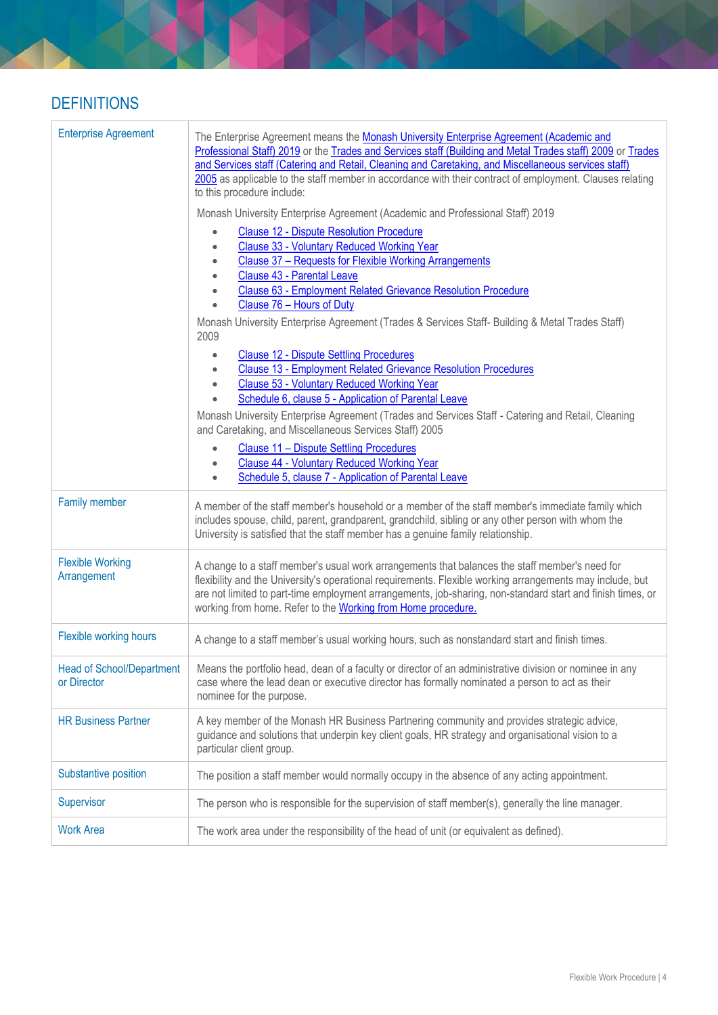# **DEFINITIONS**

| <b>Enterprise Agreement</b>                     | The Enterprise Agreement means the Monash University Enterprise Agreement (Academic and<br>Professional Staff) 2019 or the Trades and Services staff (Building and Metal Trades staff) 2009 or Trades<br>and Services staff (Catering and Retail, Cleaning and Caretaking, and Miscellaneous services staff)<br>2005 as applicable to the staff member in accordance with their contract of employment. Clauses relating<br>to this procedure include:                                                                                                                                                                                                                                                                                                                                                |
|-------------------------------------------------|-------------------------------------------------------------------------------------------------------------------------------------------------------------------------------------------------------------------------------------------------------------------------------------------------------------------------------------------------------------------------------------------------------------------------------------------------------------------------------------------------------------------------------------------------------------------------------------------------------------------------------------------------------------------------------------------------------------------------------------------------------------------------------------------------------|
|                                                 | Monash University Enterprise Agreement (Academic and Professional Staff) 2019                                                                                                                                                                                                                                                                                                                                                                                                                                                                                                                                                                                                                                                                                                                         |
|                                                 | <b>Clause 12 - Dispute Resolution Procedure</b><br><b>Clause 33 - Voluntary Reduced Working Year</b><br><b>Clause 37 - Requests for Flexible Working Arrangements</b><br>Clause 43 - Parental Leave<br>Clause 63 - Employment Related Grievance Resolution Procedure<br>Clause 76 - Hours of Duty<br>Monash University Enterprise Agreement (Trades & Services Staff- Building & Metal Trades Staff)<br>2009<br><b>Clause 12 - Dispute Settling Procedures</b><br>Clause 13 - Employment Related Grievance Resolution Procedures<br>Clause 53 - Voluntary Reduced Working Year<br>Schedule 6, clause 5 - Application of Parental Leave<br>Monash University Enterprise Agreement (Trades and Services Staff - Catering and Retail, Cleaning<br>and Caretaking, and Miscellaneous Services Staff) 2005 |
|                                                 | <b>Clause 11 - Dispute Settling Procedures</b><br><b>Clause 44 - Voluntary Reduced Working Year</b><br>Schedule 5, clause 7 - Application of Parental Leave                                                                                                                                                                                                                                                                                                                                                                                                                                                                                                                                                                                                                                           |
| <b>Family member</b>                            | A member of the staff member's household or a member of the staff member's immediate family which<br>includes spouse, child, parent, grandparent, grandchild, sibling or any other person with whom the<br>University is satisfied that the staff member has a genuine family relationship.                                                                                                                                                                                                                                                                                                                                                                                                                                                                                                           |
| <b>Flexible Working</b><br>Arrangement          | A change to a staff member's usual work arrangements that balances the staff member's need for<br>flexibility and the University's operational requirements. Flexible working arrangements may include, but<br>are not limited to part-time employment arrangements, job-sharing, non-standard start and finish times, or<br>working from home. Refer to the Working from Home procedure.                                                                                                                                                                                                                                                                                                                                                                                                             |
| Flexible working hours                          | A change to a staff member's usual working hours, such as nonstandard start and finish times.                                                                                                                                                                                                                                                                                                                                                                                                                                                                                                                                                                                                                                                                                                         |
| <b>Head of School/Department</b><br>or Director | Means the portfolio head, dean of a faculty or director of an administrative division or nominee in any<br>case where the lead dean or executive director has formally nominated a person to act as their<br>nominee for the purpose.                                                                                                                                                                                                                                                                                                                                                                                                                                                                                                                                                                 |
| <b>HR Business Partner</b>                      | A key member of the Monash HR Business Partnering community and provides strategic advice,<br>guidance and solutions that underpin key client goals, HR strategy and organisational vision to a<br>particular client group.                                                                                                                                                                                                                                                                                                                                                                                                                                                                                                                                                                           |
| Substantive position                            | The position a staff member would normally occupy in the absence of any acting appointment.                                                                                                                                                                                                                                                                                                                                                                                                                                                                                                                                                                                                                                                                                                           |
| Supervisor                                      | The person who is responsible for the supervision of staff member(s), generally the line manager.                                                                                                                                                                                                                                                                                                                                                                                                                                                                                                                                                                                                                                                                                                     |
| <b>Work Area</b>                                | The work area under the responsibility of the head of unit (or equivalent as defined).                                                                                                                                                                                                                                                                                                                                                                                                                                                                                                                                                                                                                                                                                                                |